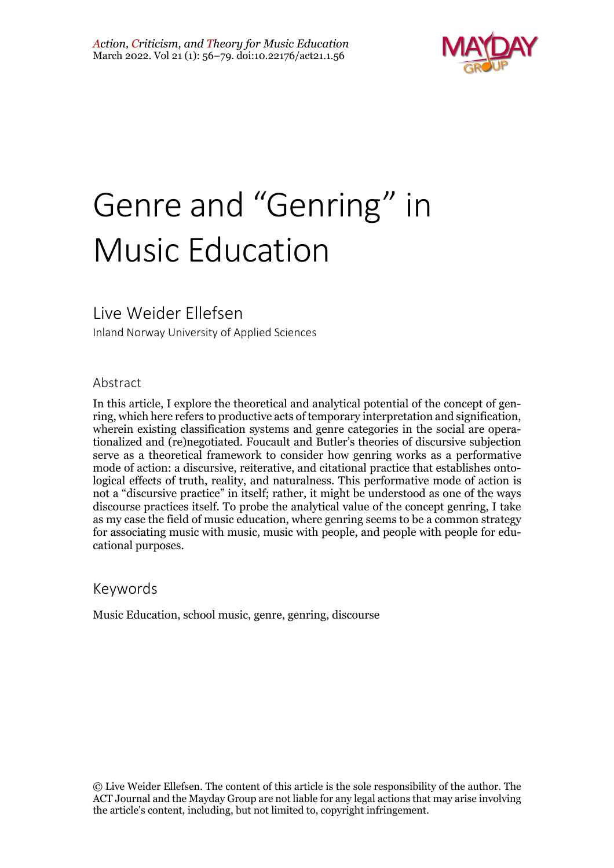

# Genre and "Genring" in Music Education

# Live Weider Ellefsen

Inland Norway University of Applied Sciences

#### Abstract

In this article, I explore the theoretical and analytical potential of the concept of genring, which here refers to productive acts of temporary interpretation and signification, wherein existing classification systems and genre categories in the social are operationalized and (re)negotiated. Foucault and Butler's theories of discursive subjection serve as a theoretical framework to consider how genring works as a performative mode of action: a discursive, reiterative, and citational practice that establishes ontological effects of truth, reality, and naturalness. This performative mode of action is not a "discursive practice" in itself; rather, it might be understood as one of the ways discourse practices itself. To probe the analytical value of the concept genring, I take as my case the field of music education, where genring seems to be a common strategy for associating music with music, music with people, and people with people for educational purposes.

# Keywords

Music Education, school music, genre, genring, discourse

© Live Weider Ellefsen. The content of this article is the sole responsibility of the author. The ACT Journal and the Mayday Group are not liable for any legal actions that may arise involving the article's content, including, but not limited to, copyright infringement.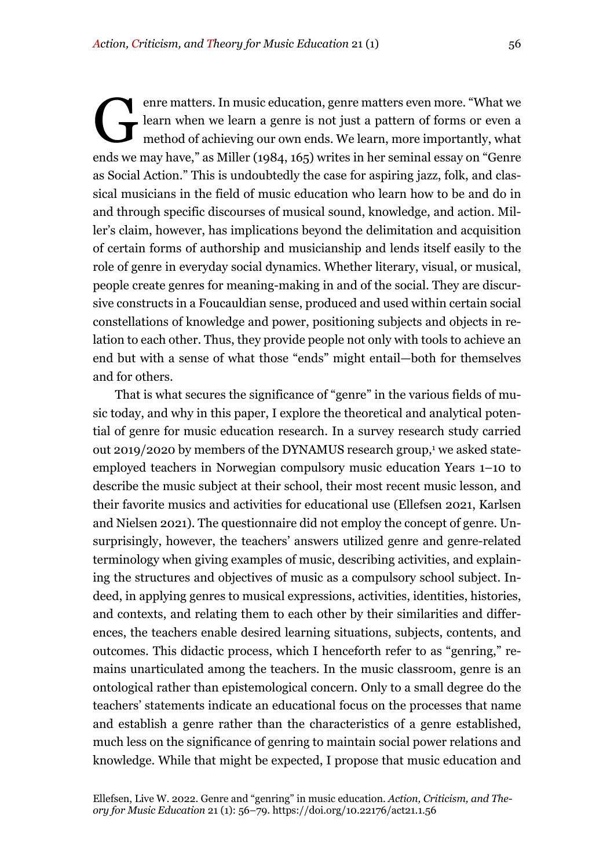enre matters. In music education, genre matters even more. "What we learn when we learn a genre is not just a pattern of forms or even a method of achieving our own ends. We learn, more importantly, what ends we may have," as Miller (1984, 165) writes in her seminal essay on "Genre as Social Action." This is undoubtedly the case for aspiring jazz, folk, and classical musicians in the field of music education who learn how to be and do in and through specific discourses of musical sound, knowledge, and action. Miller's claim, however, has implications beyond the delimitation and acquisition of certain forms of authorship and musicianship and lends itself easily to the role of genre in everyday social dynamics. Whether literary, visual, or musical, people create genres for meaning-making in and of the social. They are discursive constructs in a Foucauldian sense, produced and used within certain social constellations of knowledge and power, positioning subjects and objects in relation to each other. Thus, they provide people not only with tools to achieve an end but with a sense of what those "ends" might entail—both for themselves and for others. G

That is what secures the significance of "genre" in the various fields of music today, and why in this paper, I explore the theoretical and analytical potential of genre for music education research. In a survey research study carried out 2019/2020 by members of the DYNAMUS research group, <sup>1</sup> we asked stateemployed teachers in Norwegian compulsory music education Years 1–10 to describe the music subject at their school, their most recent music lesson, and their favorite musics and activities for educational use (Ellefsen 2021, Karlsen and Nielsen 2021). The questionnaire did not employ the concept of genre. Unsurprisingly, however, the teachers' answers utilized genre and genre-related terminology when giving examples of music, describing activities, and explaining the structures and objectives of music as a compulsory school subject. Indeed, in applying genres to musical expressions, activities, identities, histories, and contexts, and relating them to each other by their similarities and differences, the teachers enable desired learning situations, subjects, contents, and outcomes. This didactic process, which I henceforth refer to as "genring," remains unarticulated among the teachers. In the music classroom, genre is an ontological rather than epistemological concern. Only to a small degree do the teachers' statements indicate an educational focus on the processes that name and establish a genre rather than the characteristics of a genre established, much less on the significance of genring to maintain social power relations and knowledge. While that might be expected, I propose that music education and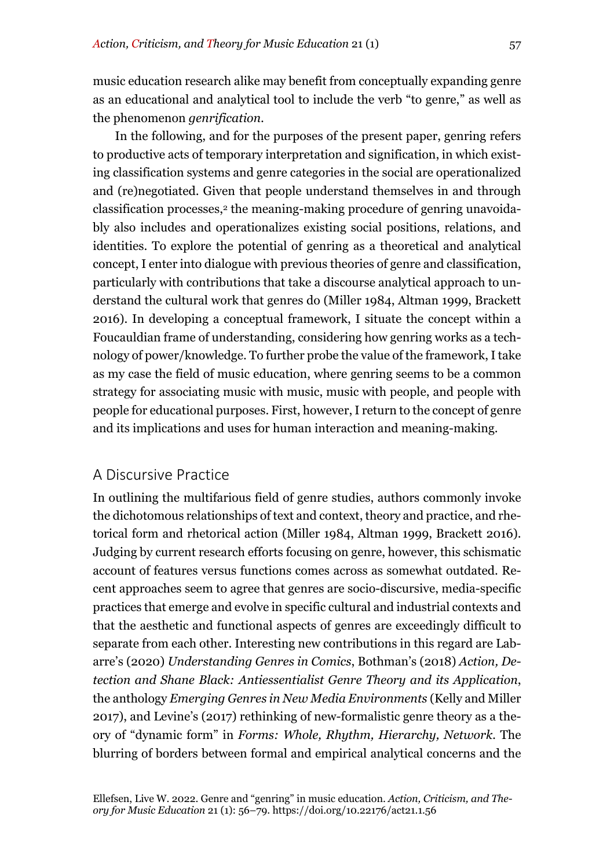music education research alike may benefit from conceptually expanding genre as an educational and analytical tool to include the verb "to genre," as well as the phenomenon *genrification*.

In the following, and for the purposes of the present paper, genring refers to productive acts of temporary interpretation and signification, in which existing classification systems and genre categories in the social are operationalized and (re)negotiated. Given that people understand themselves in and through classification processes,<sup>2</sup> the meaning-making procedure of genring unavoidably also includes and operationalizes existing social positions, relations, and identities. To explore the potential of genring as a theoretical and analytical concept, I enter into dialogue with previous theories of genre and classification, particularly with contributions that take a discourse analytical approach to understand the cultural work that genres do (Miller 1984, Altman 1999, Brackett 2016). In developing a conceptual framework, I situate the concept within a Foucauldian frame of understanding, considering how genring works as a technology of power/knowledge. To further probe the value of the framework, I take as my case the field of music education, where genring seems to be a common strategy for associating music with music, music with people, and people with people for educational purposes. First, however, I return to the concept of genre and its implications and uses for human interaction and meaning-making.

#### A Discursive Practice

In outlining the multifarious field of genre studies, authors commonly invoke the dichotomous relationships of text and context, theory and practice, and rhetorical form and rhetorical action (Miller 1984, Altman 1999, Brackett 2016). Judging by current research efforts focusing on genre, however, this schismatic account of features versus functions comes across as somewhat outdated. Recent approaches seem to agree that genres are socio-discursive, media-specific practices that emerge and evolve in specific cultural and industrial contexts and that the aesthetic and functional aspects of genres are exceedingly difficult to separate from each other. Interesting new contributions in this regard are Labarre's (2020) *Understanding Genres in Comics*, Bothman's (2018) *Action, Detection and Shane Black: Antiessentialist Genre Theory and its Application*, the anthology *Emerging Genres in New Media Environments* (Kelly and Miller 2017), and Levine's (2017) rethinking of new-formalistic genre theory as a theory of "dynamic form" in *Forms: Whole, Rhythm, Hierarchy, Network.* The blurring of borders between formal and empirical analytical concerns and the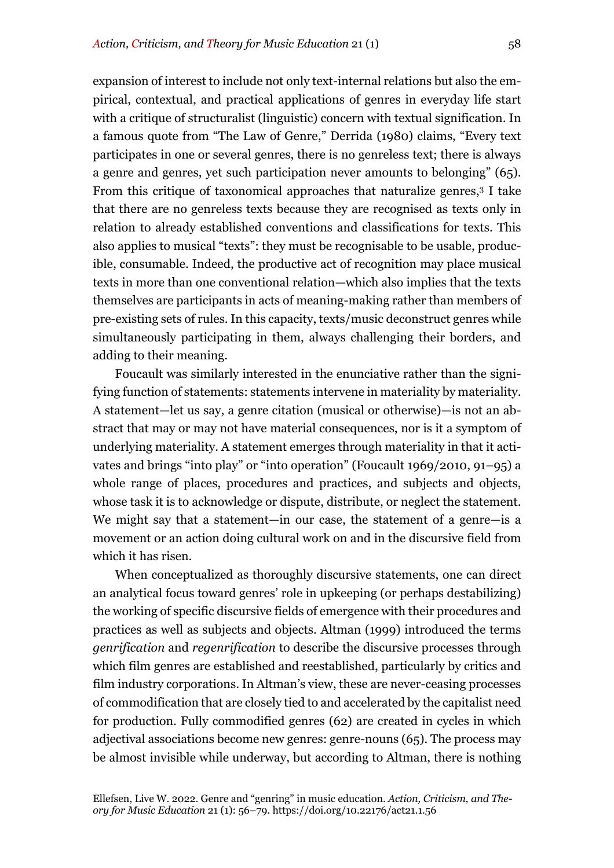expansion of interest to include not only text-internal relations but also the empirical, contextual, and practical applications of genres in everyday life start with a critique of structuralist (linguistic) concern with textual signification. In a famous quote from "The Law of Genre," Derrida (1980) claims, "Every text participates in one or several genres, there is no genreless text; there is always a genre and genres, yet such participation never amounts to belonging" (65). From this critique of taxonomical approaches that naturalize genres,3 I take that there are no genreless texts because they are recognised as texts only in relation to already established conventions and classifications for texts. This also applies to musical "texts": they must be recognisable to be usable, producible, consumable. Indeed, the productive act of recognition may place musical texts in more than one conventional relation—which also implies that the texts themselves are participants in acts of meaning-making rather than members of pre-existing sets of rules. In this capacity, texts/music deconstruct genres while simultaneously participating in them, always challenging their borders, and adding to their meaning.

Foucault was similarly interested in the enunciative rather than the signifying function of statements: statements intervene in materiality by materiality. A statement—let us say, a genre citation (musical or otherwise)—is not an abstract that may or may not have material consequences, nor is it a symptom of underlying materiality. A statement emerges through materiality in that it activates and brings "into play" or "into operation" (Foucault 1969/2010, 91–95) a whole range of places, procedures and practices, and subjects and objects, whose task it is to acknowledge or dispute, distribute, or neglect the statement. We might say that a statement—in our case, the statement of a genre—is a movement or an action doing cultural work on and in the discursive field from which it has risen.

When conceptualized as thoroughly discursive statements, one can direct an analytical focus toward genres' role in upkeeping (or perhaps destabilizing) the working of specific discursive fields of emergence with their procedures and practices as well as subjects and objects. Altman (1999) introduced the terms *genrification* and *regenrification* to describe the discursive processes through which film genres are established and reestablished, particularly by critics and film industry corporations. In Altman's view, these are never-ceasing processes of commodification that are closely tied to and accelerated by the capitalist need for production. Fully commodified genres (62) are created in cycles in which adjectival associations become new genres: genre-nouns (65). The process may be almost invisible while underway, but according to Altman, there is nothing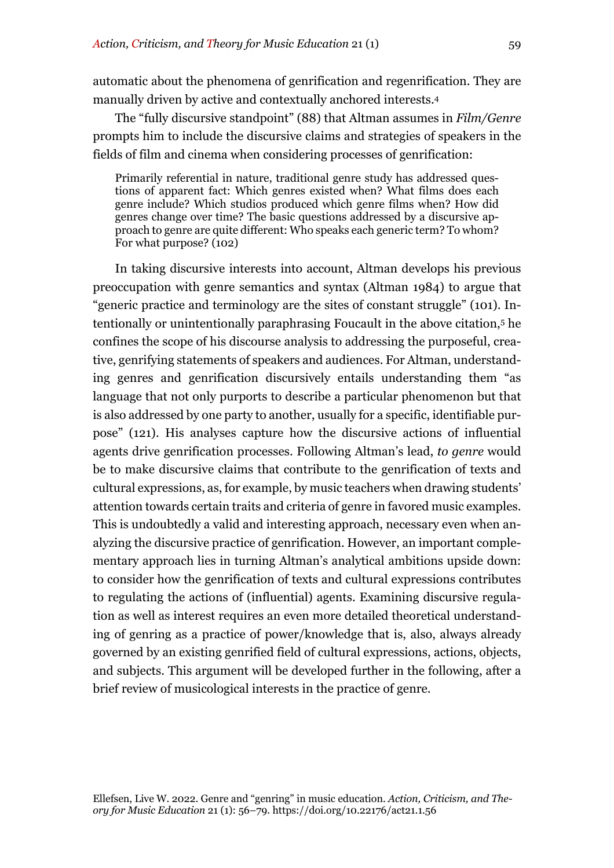automatic about the phenomena of genrification and regenrification. They are manually driven by active and contextually anchored interests.4

The "fully discursive standpoint" (88) that Altman assumes in *Film/Genre* prompts him to include the discursive claims and strategies of speakers in the fields of film and cinema when considering processes of genrification:

Primarily referential in nature, traditional genre study has addressed questions of apparent fact: Which genres existed when? What films does each genre include? Which studios produced which genre films when? How did genres change over time? The basic questions addressed by a discursive approach to genre are quite different: Who speaks each generic term? To whom? For what purpose? (102)

In taking discursive interests into account, Altman develops his previous preoccupation with genre semantics and syntax (Altman 1984) to argue that "generic practice and terminology are the sites of constant struggle" (101). Intentionally or unintentionally paraphrasing Foucault in the above citation,5 he confines the scope of his discourse analysis to addressing the purposeful, creative, genrifying statements of speakers and audiences. For Altman, understanding genres and genrification discursively entails understanding them "as language that not only purports to describe a particular phenomenon but that is also addressed by one party to another, usually for a specific, identifiable purpose" (121). His analyses capture how the discursive actions of influential agents drive genrification processes. Following Altman's lead, *to genre* would be to make discursive claims that contribute to the genrification of texts and cultural expressions, as, for example, by music teachers when drawing students' attention towards certain traits and criteria of genre in favored music examples. This is undoubtedly a valid and interesting approach, necessary even when analyzing the discursive practice of genrification. However, an important complementary approach lies in turning Altman's analytical ambitions upside down: to consider how the genrification of texts and cultural expressions contributes to regulating the actions of (influential) agents. Examining discursive regulation as well as interest requires an even more detailed theoretical understanding of genring as a practice of power/knowledge that is, also, always already governed by an existing genrified field of cultural expressions, actions, objects, and subjects. This argument will be developed further in the following, after a brief review of musicological interests in the practice of genre.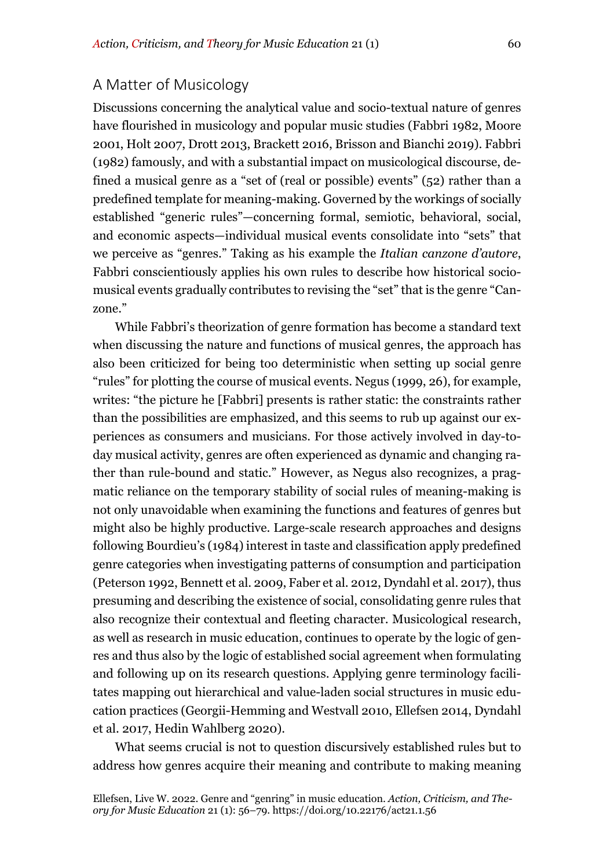#### A Matter of Musicology

Discussions concerning the analytical value and socio-textual nature of genres have flourished in musicology and popular music studies (Fabbri 1982, Moore 2001, Holt 2007, Drott 2013, Brackett 2016, Brisson and Bianchi 2019). Fabbri (1982) famously, and with a substantial impact on musicological discourse, defined a musical genre as a "set of (real or possible) events" (52) rather than a predefined template for meaning-making. Governed by the workings of socially established "generic rules"—concerning formal, semiotic, behavioral, social, and economic aspects—individual musical events consolidate into "sets" that we perceive as "genres." Taking as his example the *Italian canzone d'autore*, Fabbri conscientiously applies his own rules to describe how historical sociomusical events gradually contributes to revising the "set" that is the genre "Canzone."

While Fabbri's theorization of genre formation has become a standard text when discussing the nature and functions of musical genres, the approach has also been criticized for being too deterministic when setting up social genre "rules" for plotting the course of musical events. Negus (1999, 26), for example, writes: "the picture he [Fabbri] presents is rather static: the constraints rather than the possibilities are emphasized, and this seems to rub up against our experiences as consumers and musicians. For those actively involved in day-today musical activity, genres are often experienced as dynamic and changing rather than rule-bound and static." However, as Negus also recognizes, a pragmatic reliance on the temporary stability of social rules of meaning-making is not only unavoidable when examining the functions and features of genres but might also be highly productive. Large-scale research approaches and designs following Bourdieu's (1984) interest in taste and classification apply predefined genre categories when investigating patterns of consumption and participation (Peterson 1992, Bennett et al. 2009, Faber et al. 2012, Dyndahl et al. 2017), thus presuming and describing the existence of social, consolidating genre rules that also recognize their contextual and fleeting character. Musicological research, as well as research in music education, continues to operate by the logic of genres and thus also by the logic of established social agreement when formulating and following up on its research questions. Applying genre terminology facilitates mapping out hierarchical and value-laden social structures in music education practices (Georgii-Hemming and Westvall 2010, Ellefsen 2014, Dyndahl et al. 2017, Hedin Wahlberg 2020).

What seems crucial is not to question discursively established rules but to address how genres acquire their meaning and contribute to making meaning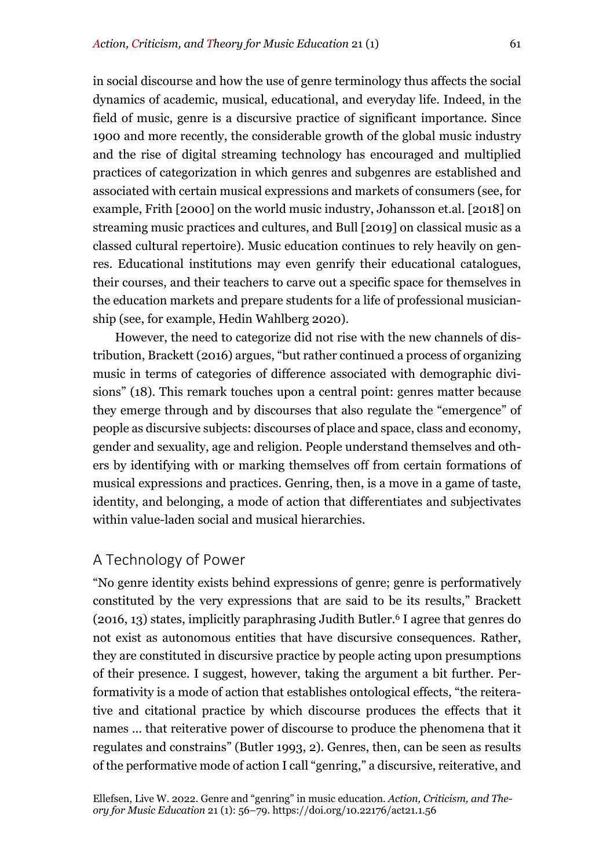in social discourse and how the use of genre terminology thus affects the social dynamics of academic, musical, educational, and everyday life. Indeed, in the field of music, genre is a discursive practice of significant importance. Since 1900 and more recently, the considerable growth of the global music industry and the rise of digital streaming technology has encouraged and multiplied practices of categorization in which genres and subgenres are established and associated with certain musical expressions and markets of consumers (see, for example, Frith [2000] on the world music industry, Johansson et.al. [2018] on streaming music practices and cultures, and Bull [2019] on classical music as a classed cultural repertoire). Music education continues to rely heavily on genres. Educational institutions may even genrify their educational catalogues, their courses, and their teachers to carve out a specific space for themselves in the education markets and prepare students for a life of professional musicianship (see, for example, Hedin Wahlberg 2020).

However, the need to categorize did not rise with the new channels of distribution, Brackett (2016) argues, "but rather continued a process of organizing music in terms of categories of difference associated with demographic divisions" (18). This remark touches upon a central point: genres matter because they emerge through and by discourses that also regulate the "emergence" of people as discursive subjects: discourses of place and space, class and economy, gender and sexuality, age and religion. People understand themselves and others by identifying with or marking themselves off from certain formations of musical expressions and practices. Genring, then, is a move in a game of taste, identity, and belonging, a mode of action that differentiates and subjectivates within value-laden social and musical hierarchies.

## A Technology of Power

"No genre identity exists behind expressions of genre; genre is performatively constituted by the very expressions that are said to be its results," Brackett (2016, 13) states, implicitly paraphrasing Judith Butler.6 I agree that genres do not exist as autonomous entities that have discursive consequences. Rather, they are constituted in discursive practice by people acting upon presumptions of their presence. I suggest, however, taking the argument a bit further. Performativity is a mode of action that establishes ontological effects, "the reiterative and citational practice by which discourse produces the effects that it names ... that reiterative power of discourse to produce the phenomena that it regulates and constrains" (Butler 1993, 2). Genres, then, can be seen as results of the performative mode of action I call "genring," a discursive, reiterative, and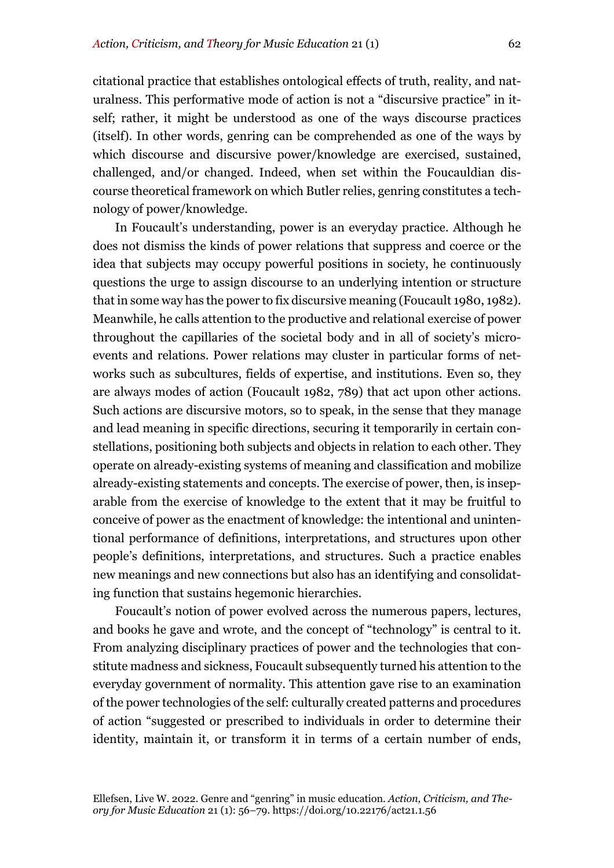citational practice that establishes ontological effects of truth, reality, and naturalness. This performative mode of action is not a "discursive practice" in itself; rather, it might be understood as one of the ways discourse practices (itself). In other words, genring can be comprehended as one of the ways by which discourse and discursive power/knowledge are exercised, sustained, challenged, and/or changed. Indeed, when set within the Foucauldian discourse theoretical framework on which Butler relies, genring constitutes a technology of power/knowledge.

In Foucault's understanding, power is an everyday practice. Although he does not dismiss the kinds of power relations that suppress and coerce or the idea that subjects may occupy powerful positions in society, he continuously questions the urge to assign discourse to an underlying intention or structure that in some way has the power to fix discursive meaning (Foucault 1980, 1982). Meanwhile, he calls attention to the productive and relational exercise of power throughout the capillaries of the societal body and in all of society's microevents and relations. Power relations may cluster in particular forms of networks such as subcultures, fields of expertise, and institutions. Even so, they are always modes of action (Foucault 1982, 789) that act upon other actions. Such actions are discursive motors, so to speak, in the sense that they manage and lead meaning in specific directions, securing it temporarily in certain constellations, positioning both subjects and objects in relation to each other. They operate on already-existing systems of meaning and classification and mobilize already-existing statements and concepts. The exercise of power, then, is inseparable from the exercise of knowledge to the extent that it may be fruitful to conceive of power as the enactment of knowledge: the intentional and unintentional performance of definitions, interpretations, and structures upon other people's definitions, interpretations, and structures. Such a practice enables new meanings and new connections but also has an identifying and consolidating function that sustains hegemonic hierarchies.

Foucault's notion of power evolved across the numerous papers, lectures, and books he gave and wrote, and the concept of "technology" is central to it. From analyzing disciplinary practices of power and the technologies that constitute madness and sickness, Foucault subsequently turned his attention to the everyday government of normality. This attention gave rise to an examination of the power technologies of the self: culturally created patterns and procedures of action "suggested or prescribed to individuals in order to determine their identity, maintain it, or transform it in terms of a certain number of ends,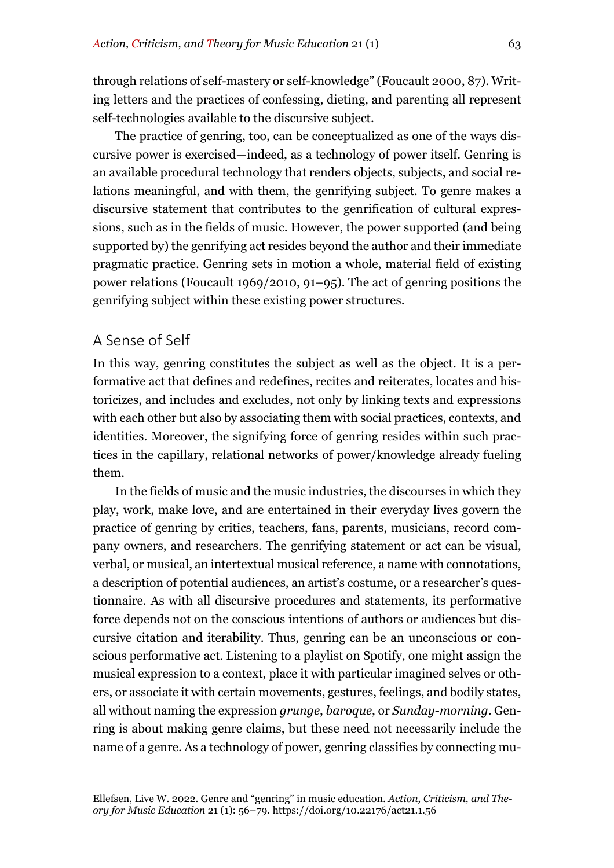through relations of self-mastery or self-knowledge" (Foucault 2000, 87). Writing letters and the practices of confessing, dieting, and parenting all represent self-technologies available to the discursive subject.

The practice of genring, too, can be conceptualized as one of the ways discursive power is exercised—indeed, as a technology of power itself. Genring is an available procedural technology that renders objects, subjects, and social relations meaningful, and with them, the genrifying subject. To genre makes a discursive statement that contributes to the genrification of cultural expressions, such as in the fields of music. However, the power supported (and being supported by) the genrifying act resides beyond the author and their immediate pragmatic practice. Genring sets in motion a whole, material field of existing power relations (Foucault 1969/2010, 91–95). The act of genring positions the genrifying subject within these existing power structures.

#### A Sense of Self

In this way, genring constitutes the subject as well as the object. It is a performative act that defines and redefines, recites and reiterates, locates and historicizes, and includes and excludes, not only by linking texts and expressions with each other but also by associating them with social practices, contexts, and identities. Moreover, the signifying force of genring resides within such practices in the capillary, relational networks of power/knowledge already fueling them.

In the fields of music and the music industries, the discourses in which they play, work, make love, and are entertained in their everyday lives govern the practice of genring by critics, teachers, fans, parents, musicians, record company owners, and researchers. The genrifying statement or act can be visual, verbal, or musical, an intertextual musical reference, a name with connotations, a description of potential audiences, an artist's costume, or a researcher's questionnaire. As with all discursive procedures and statements, its performative force depends not on the conscious intentions of authors or audiences but discursive citation and iterability. Thus, genring can be an unconscious or conscious performative act. Listening to a playlist on Spotify, one might assign the musical expression to a context, place it with particular imagined selves or others, or associate it with certain movements, gestures, feelings, and bodily states, all without naming the expression *grunge*, *baroque*, or *Sunday-morning*. Genring is about making genre claims, but these need not necessarily include the name of a genre. As a technology of power, genring classifies by connecting mu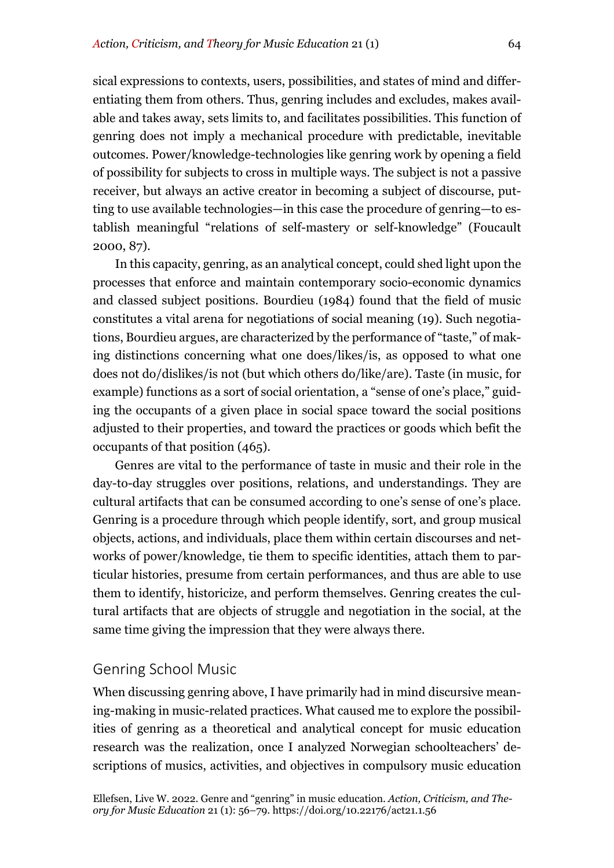sical expressions to contexts, users, possibilities, and states of mind and differentiating them from others. Thus, genring includes and excludes, makes available and takes away, sets limits to, and facilitates possibilities. This function of genring does not imply a mechanical procedure with predictable, inevitable outcomes. Power/knowledge-technologies like genring work by opening a field of possibility for subjects to cross in multiple ways. The subject is not a passive receiver, but always an active creator in becoming a subject of discourse, putting to use available technologies—in this case the procedure of genring—to establish meaningful "relations of self-mastery or self-knowledge" (Foucault 2000, 87).

In this capacity, genring, as an analytical concept, could shed light upon the processes that enforce and maintain contemporary socio-economic dynamics and classed subject positions. Bourdieu (1984) found that the field of music constitutes a vital arena for negotiations of social meaning (19). Such negotiations, Bourdieu argues, are characterized by the performance of "taste," of making distinctions concerning what one does/likes/is, as opposed to what one does not do/dislikes/is not (but which others do/like/are). Taste (in music, for example) functions as a sort of social orientation, a "sense of one's place," guiding the occupants of a given place in social space toward the social positions adjusted to their properties, and toward the practices or goods which befit the occupants of that position (465).

Genres are vital to the performance of taste in music and their role in the day-to-day struggles over positions, relations, and understandings. They are cultural artifacts that can be consumed according to one's sense of one's place. Genring is a procedure through which people identify, sort, and group musical objects, actions, and individuals, place them within certain discourses and networks of power/knowledge, tie them to specific identities, attach them to particular histories, presume from certain performances, and thus are able to use them to identify, historicize, and perform themselves. Genring creates the cultural artifacts that are objects of struggle and negotiation in the social, at the same time giving the impression that they were always there.

#### Genring School Music

When discussing genring above, I have primarily had in mind discursive meaning-making in music-related practices. What caused me to explore the possibilities of genring as a theoretical and analytical concept for music education research was the realization, once I analyzed Norwegian schoolteachers' descriptions of musics, activities, and objectives in compulsory music education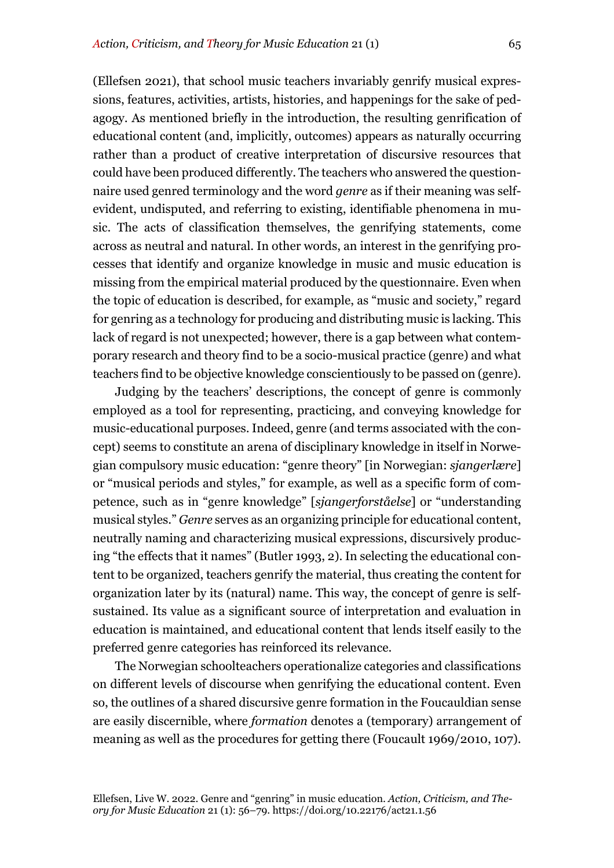(Ellefsen 2021), that school music teachers invariably genrify musical expressions, features, activities, artists, histories, and happenings for the sake of pedagogy. As mentioned briefly in the introduction, the resulting genrification of educational content (and, implicitly, outcomes) appears as naturally occurring rather than a product of creative interpretation of discursive resources that could have been produced differently. The teachers who answered the questionnaire used genred terminology and the word *genre* as if their meaning was selfevident, undisputed, and referring to existing, identifiable phenomena in music. The acts of classification themselves, the genrifying statements, come across as neutral and natural. In other words, an interest in the genrifying processes that identify and organize knowledge in music and music education is missing from the empirical material produced by the questionnaire. Even when the topic of education is described, for example, as "music and society," regard for genring as a technology for producing and distributing music is lacking. This lack of regard is not unexpected; however, there is a gap between what contemporary research and theory find to be a socio-musical practice (genre) and what teachers find to be objective knowledge conscientiously to be passed on (genre).

Judging by the teachers' descriptions, the concept of genre is commonly employed as a tool for representing, practicing, and conveying knowledge for music-educational purposes. Indeed, genre (and terms associated with the concept) seems to constitute an arena of disciplinary knowledge in itself in Norwegian compulsory music education: "genre theory" [in Norwegian: *sjangerlære*] or "musical periods and styles," for example, as well as a specific form of competence, such as in "genre knowledge" [*sjangerforståelse*] or "understanding musical styles." *Genre* serves as an organizing principle for educational content, neutrally naming and characterizing musical expressions, discursively producing "the effects that it names" (Butler 1993, 2). In selecting the educational content to be organized, teachers genrify the material, thus creating the content for organization later by its (natural) name. This way, the concept of genre is selfsustained. Its value as a significant source of interpretation and evaluation in education is maintained, and educational content that lends itself easily to the preferred genre categories has reinforced its relevance.

The Norwegian schoolteachers operationalize categories and classifications on different levels of discourse when genrifying the educational content. Even so, the outlines of a shared discursive genre formation in the Foucauldian sense are easily discernible, where *formation* denotes a (temporary) arrangement of meaning as well as the procedures for getting there (Foucault 1969/2010, 107).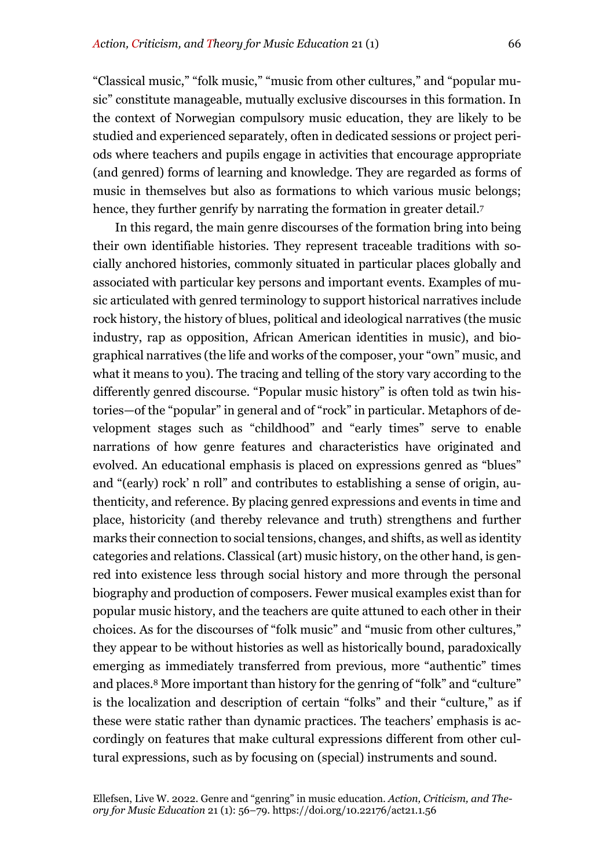"Classical music," "folk music," "music from other cultures," and "popular music" constitute manageable, mutually exclusive discourses in this formation. In the context of Norwegian compulsory music education, they are likely to be studied and experienced separately, often in dedicated sessions or project periods where teachers and pupils engage in activities that encourage appropriate (and genred) forms of learning and knowledge. They are regarded as forms of music in themselves but also as formations to which various music belongs; hence, they further genrify by narrating the formation in greater detail.<sup>7</sup>

In this regard, the main genre discourses of the formation bring into being their own identifiable histories. They represent traceable traditions with socially anchored histories, commonly situated in particular places globally and associated with particular key persons and important events. Examples of music articulated with genred terminology to support historical narratives include rock history, the history of blues, political and ideological narratives (the music industry, rap as opposition, African American identities in music), and biographical narratives (the life and works of the composer, your "own" music, and what it means to you). The tracing and telling of the story vary according to the differently genred discourse. "Popular music history" is often told as twin histories—of the "popular" in general and of "rock" in particular. Metaphors of development stages such as "childhood" and "early times" serve to enable narrations of how genre features and characteristics have originated and evolved. An educational emphasis is placed on expressions genred as "blues" and "(early) rock' n roll" and contributes to establishing a sense of origin, authenticity, and reference. By placing genred expressions and events in time and place, historicity (and thereby relevance and truth) strengthens and further marks their connection to social tensions, changes, and shifts, as well as identity categories and relations. Classical (art) music history, on the other hand, is genred into existence less through social history and more through the personal biography and production of composers. Fewer musical examples exist than for popular music history, and the teachers are quite attuned to each other in their choices. As for the discourses of "folk music" and "music from other cultures," they appear to be without histories as well as historically bound, paradoxically emerging as immediately transferred from previous, more "authentic" times and places.8 More important than history for the genring of "folk" and "culture" is the localization and description of certain "folks" and their "culture," as if these were static rather than dynamic practices. The teachers' emphasis is accordingly on features that make cultural expressions different from other cultural expressions, such as by focusing on (special) instruments and sound.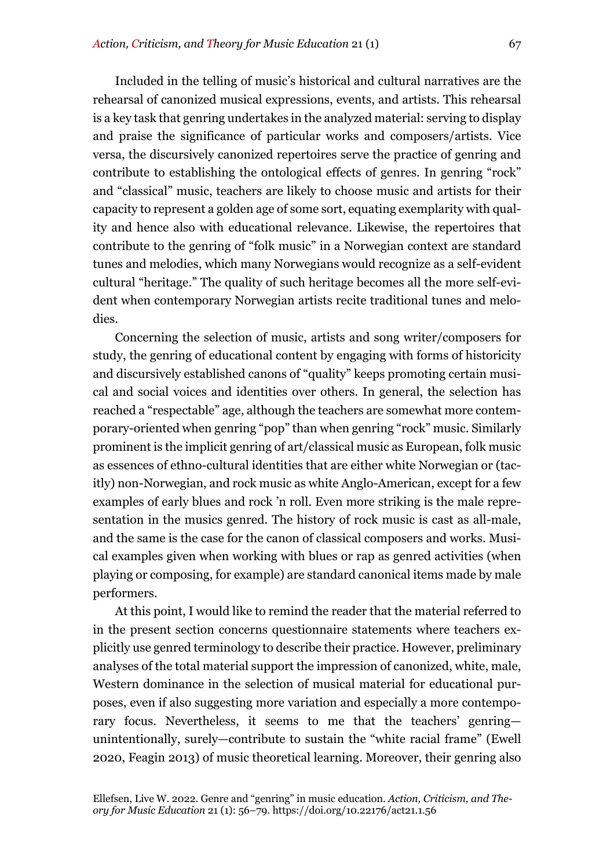Included in the telling of music's historical and cultural narratives are the rehearsal of canonized musical expressions, events, and artists. This rehearsal is a key task that genring undertakes in the analyzed material: serving to display and praise the significance of particular works and composers/artists. Vice versa, the discursively canonized repertoires serve the practice of genring and contribute to establishing the ontological effects of genres. In genring "rock" and "classical" music, teachers are likely to choose music and artists for their capacity to represent a golden age of some sort, equating exemplarity with quality and hence also with educational relevance. Likewise, the repertoires that contribute to the genring of "folk music" in a Norwegian context are standard tunes and melodies, which many Norwegians would recognize as a self-evident cultural "heritage." The quality of such heritage becomes all the more self-evident when contemporary Norwegian artists recite traditional tunes and melodies.

Concerning the selection of music, artists and song writer/composers for study, the genring of educational content by engaging with forms of historicity and discursively established canons of "quality" keeps promoting certain musical and social voices and identities over others. In general, the selection has reached a "respectable" age, although the teachers are somewhat more contemporary-oriented when genring "pop" than when genring "rock" music. Similarly prominent is the implicit genring of art/classical music as European, folk music as essences of ethno-cultural identities that are either white Norwegian or (tacitly) non-Norwegian, and rock music as white Anglo-American, except for a few examples of early blues and rock 'n roll. Even more striking is the male representation in the musics genred. The history of rock music is cast as all-male, and the same is the case for the canon of classical composers and works. Musical examples given when working with blues or rap as genred activities (when playing or composing, for example) are standard canonical items made by male performers.

At this point, I would like to remind the reader that the material referred to in the present section concerns questionnaire statements where teachers explicitly use genred terminology to describe their practice. However, preliminary analyses of the total material support the impression of canonized, white, male, Western dominance in the selection of musical material for educational purposes, even if also suggesting more variation and especially a more contemporary focus. Nevertheless, it seems to me that the teachers' genring unintentionally, surely—contribute to sustain the "white racial frame" (Ewell 2020, Feagin 2013) of music theoretical learning. Moreover, their genring also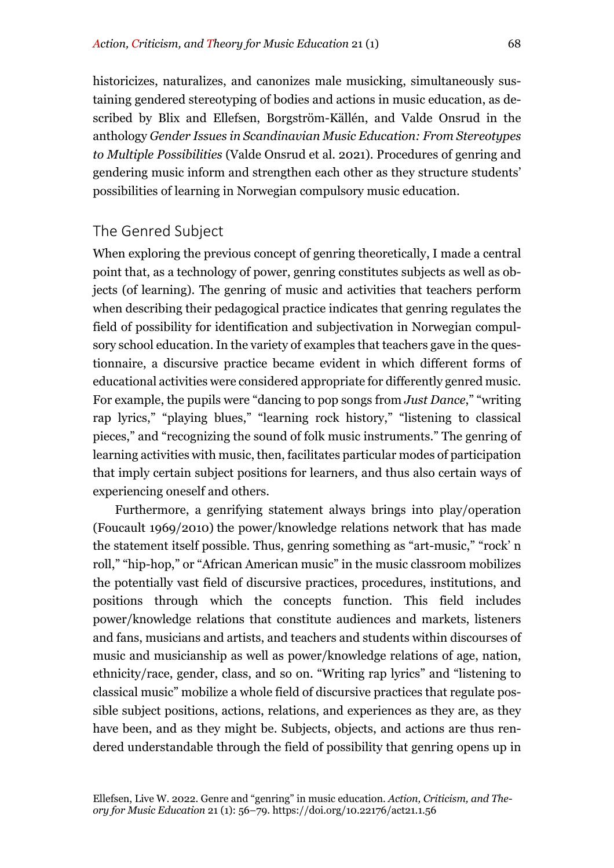historicizes, naturalizes, and canonizes male musicking, simultaneously sustaining gendered stereotyping of bodies and actions in music education, as described by Blix and Ellefsen, Borgström-Källén, and Valde Onsrud in the anthology *Gender Issues in Scandinavian Music Education: From Stereotypes to Multiple Possibilities* (Valde Onsrud et al. 2021). Procedures of genring and gendering music inform and strengthen each other as they structure students' possibilities of learning in Norwegian compulsory music education.

### The Genred Subject

When exploring the previous concept of genring theoretically, I made a central point that, as a technology of power, genring constitutes subjects as well as objects (of learning). The genring of music and activities that teachers perform when describing their pedagogical practice indicates that genring regulates the field of possibility for identification and subjectivation in Norwegian compulsory school education. In the variety of examples that teachers gave in the questionnaire, a discursive practice became evident in which different forms of educational activities were considered appropriate for differently genred music. For example, the pupils were "dancing to pop songs from *Just Dance*," "writing rap lyrics," "playing blues," "learning rock history," "listening to classical pieces," and "recognizing the sound of folk music instruments." The genring of learning activities with music, then, facilitates particular modes of participation that imply certain subject positions for learners, and thus also certain ways of experiencing oneself and others.

Furthermore, a genrifying statement always brings into play/operation (Foucault 1969/2010) the power/knowledge relations network that has made the statement itself possible. Thus, genring something as "art-music," "rock' n roll," "hip-hop," or "African American music" in the music classroom mobilizes the potentially vast field of discursive practices, procedures, institutions, and positions through which the concepts function. This field includes power/knowledge relations that constitute audiences and markets, listeners and fans, musicians and artists, and teachers and students within discourses of music and musicianship as well as power/knowledge relations of age, nation, ethnicity/race, gender, class, and so on. "Writing rap lyrics" and "listening to classical music" mobilize a whole field of discursive practices that regulate possible subject positions, actions, relations, and experiences as they are, as they have been, and as they might be. Subjects, objects, and actions are thus rendered understandable through the field of possibility that genring opens up in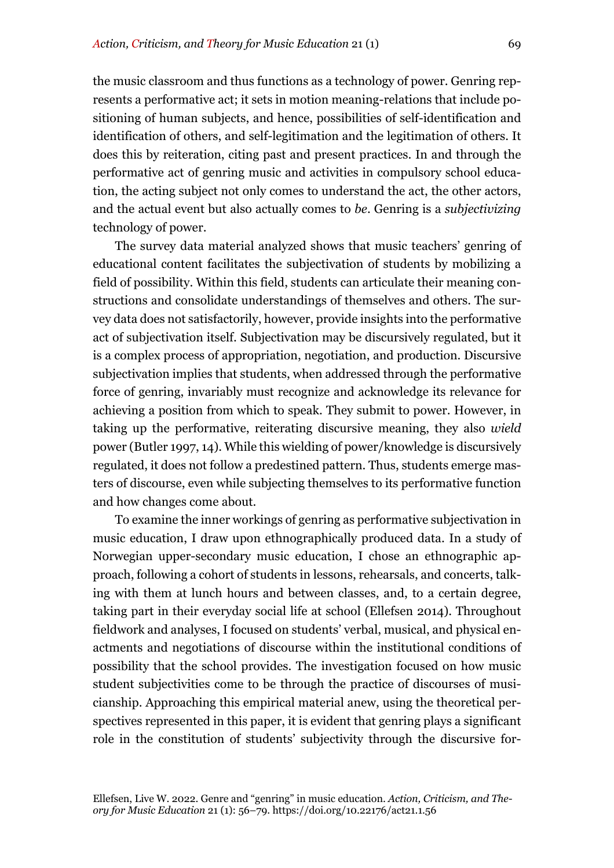the music classroom and thus functions as a technology of power. Genring represents a performative act; it sets in motion meaning-relations that include positioning of human subjects, and hence, possibilities of self-identification and identification of others, and self-legitimation and the legitimation of others. It does this by reiteration, citing past and present practices. In and through the performative act of genring music and activities in compulsory school education, the acting subject not only comes to understand the act, the other actors, and the actual event but also actually comes to *be*. Genring is a *subjectivizing* technology of power.

The survey data material analyzed shows that music teachers' genring of educational content facilitates the subjectivation of students by mobilizing a field of possibility. Within this field, students can articulate their meaning constructions and consolidate understandings of themselves and others. The survey data does not satisfactorily, however, provide insights into the performative act of subjectivation itself. Subjectivation may be discursively regulated, but it is a complex process of appropriation, negotiation, and production. Discursive subjectivation implies that students, when addressed through the performative force of genring, invariably must recognize and acknowledge its relevance for achieving a position from which to speak. They submit to power. However, in taking up the performative, reiterating discursive meaning, they also *wield* power (Butler 1997, 14). While this wielding of power/knowledge is discursively regulated, it does not follow a predestined pattern. Thus, students emerge masters of discourse, even while subjecting themselves to its performative function and how changes come about.

To examine the inner workings of genring as performative subjectivation in music education, I draw upon ethnographically produced data. In a study of Norwegian upper-secondary music education, I chose an ethnographic approach, following a cohort of students in lessons, rehearsals, and concerts, talking with them at lunch hours and between classes, and, to a certain degree, taking part in their everyday social life at school (Ellefsen 2014). Throughout fieldwork and analyses, I focused on students' verbal, musical, and physical enactments and negotiations of discourse within the institutional conditions of possibility that the school provides. The investigation focused on how music student subjectivities come to be through the practice of discourses of musicianship. Approaching this empirical material anew, using the theoretical perspectives represented in this paper, it is evident that genring plays a significant role in the constitution of students' subjectivity through the discursive for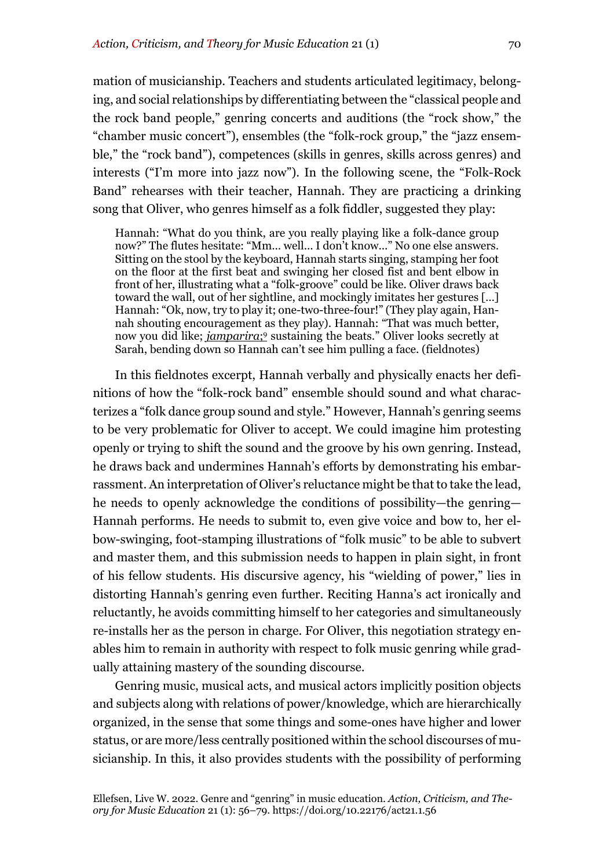mation of musicianship. Teachers and students articulated legitimacy, belonging, and social relationships by differentiating between the "classical people and the rock band people," genring concerts and auditions (the "rock show," the "chamber music concert"), ensembles (the "folk-rock group," the "jazz ensemble," the "rock band"), competences (skills in genres, skills across genres) and interests ("I'm more into jazz now"). In the following scene, the "Folk-Rock Band" rehearses with their teacher, Hannah. They are practicing a drinking song that Oliver, who genres himself as a folk fiddler, suggested they play:

Hannah: "What do you think, are you really playing like a folk-dance group now?" The flutes hesitate: "Mm... well... I don't know..." No one else answers. Sitting on the stool by the keyboard, Hannah starts singing, stamping her foot on the floor at the first beat and swinging her closed fist and bent elbow in front of her, illustrating what a "folk-groove" could be like. Oliver draws back toward the wall, out of her sightline, and mockingly imitates her gestures […] Hannah: "Ok, now, try to play it; one-two-three-four!" (They play again, Hannah shouting encouragement as they play). Hannah: "That was much better, now you did like; *jamparira*;9 sustaining the beats." Oliver looks secretly at Sarah, bending down so Hannah can't see him pulling a face. (fieldnotes)

In this fieldnotes excerpt, Hannah verbally and physically enacts her definitions of how the "folk-rock band" ensemble should sound and what characterizes a "folk dance group sound and style." However, Hannah's genring seems to be very problematic for Oliver to accept. We could imagine him protesting openly or trying to shift the sound and the groove by his own genring. Instead, he draws back and undermines Hannah's efforts by demonstrating his embarrassment. An interpretation of Oliver's reluctance might be that to take the lead, he needs to openly acknowledge the conditions of possibility—the genring— Hannah performs. He needs to submit to, even give voice and bow to, her elbow-swinging, foot-stamping illustrations of "folk music" to be able to subvert and master them, and this submission needs to happen in plain sight, in front of his fellow students. His discursive agency, his "wielding of power," lies in distorting Hannah's genring even further. Reciting Hanna's act ironically and reluctantly, he avoids committing himself to her categories and simultaneously re-installs her as the person in charge. For Oliver, this negotiation strategy enables him to remain in authority with respect to folk music genring while gradually attaining mastery of the sounding discourse.

Genring music, musical acts, and musical actors implicitly position objects and subjects along with relations of power/knowledge, which are hierarchically organized, in the sense that some things and some-ones have higher and lower status, or are more/less centrally positioned within the school discourses of musicianship. In this, it also provides students with the possibility of performing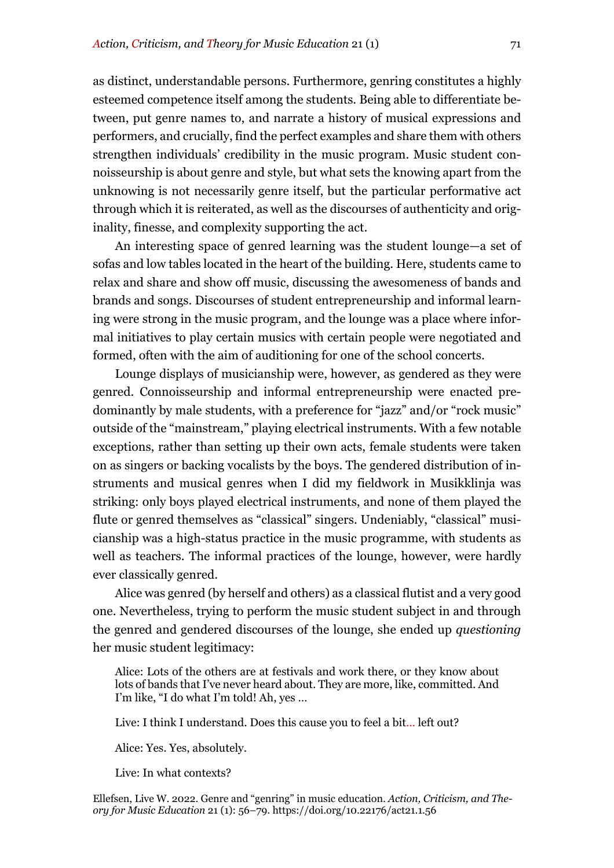as distinct, understandable persons. Furthermore, genring constitutes a highly esteemed competence itself among the students. Being able to differentiate between, put genre names to, and narrate a history of musical expressions and performers, and crucially, find the perfect examples and share them with others strengthen individuals' credibility in the music program. Music student connoisseurship is about genre and style, but what sets the knowing apart from the unknowing is not necessarily genre itself, but the particular performative act through which it is reiterated, as well as the discourses of authenticity and originality, finesse, and complexity supporting the act.

An interesting space of genred learning was the student lounge—a set of sofas and low tables located in the heart of the building. Here, students came to relax and share and show off music, discussing the awesomeness of bands and brands and songs. Discourses of student entrepreneurship and informal learning were strong in the music program, and the lounge was a place where informal initiatives to play certain musics with certain people were negotiated and formed, often with the aim of auditioning for one of the school concerts.

Lounge displays of musicianship were, however, as gendered as they were genred. Connoisseurship and informal entrepreneurship were enacted predominantly by male students, with a preference for "jazz" and/or "rock music" outside of the "mainstream," playing electrical instruments. With a few notable exceptions, rather than setting up their own acts, female students were taken on as singers or backing vocalists by the boys. The gendered distribution of instruments and musical genres when I did my fieldwork in Musikklinja was striking: only boys played electrical instruments, and none of them played the flute or genred themselves as "classical" singers. Undeniably, "classical" musicianship was a high-status practice in the music programme, with students as well as teachers. The informal practices of the lounge, however, were hardly ever classically genred.

Alice was genred (by herself and others) as a classical flutist and a very good one. Nevertheless, trying to perform the music student subject in and through the genred and gendered discourses of the lounge, she ended up *questioning* her music student legitimacy:

Alice: Lots of the others are at festivals and work there, or they know about lots of bands that I've never heard about. They are more, like, committed. And I'm like, "I do what I'm told! Ah, yes …

Live: I think I understand. Does this cause you to feel a bit… left out?

Alice: Yes. Yes, absolutely.

Live: In what contexts?

Ellefsen, Live W. 2022. Genre and "genring" in music education. *Action, Criticism, and Theory for Music Education* 21 (1): 56–79. https://doi.org/10.22176/act21.1.56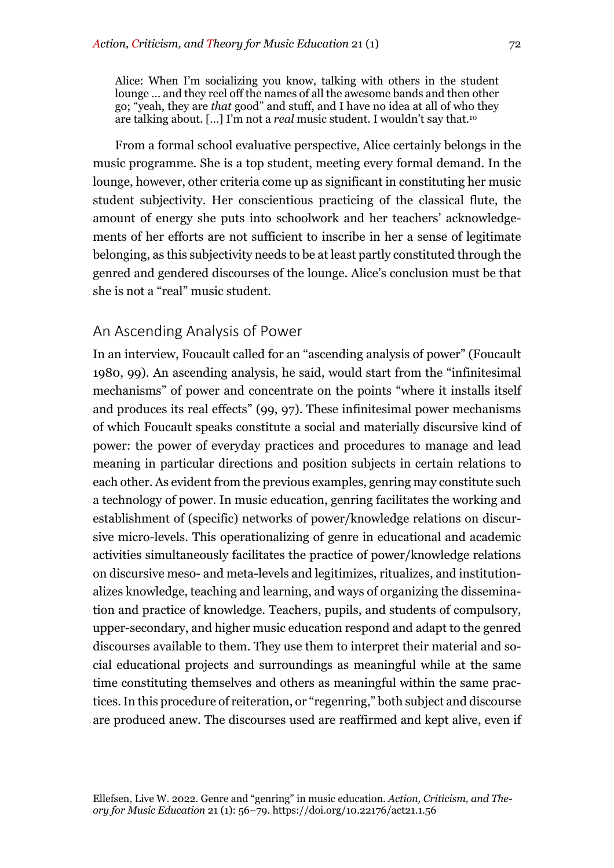Alice: When I'm socializing you know, talking with others in the student lounge … and they reel off the names of all the awesome bands and then other go; "yeah, they are *that* good" and stuff, and I have no idea at all of who they are talking about. […] I'm not a *real* music student. I wouldn't say that.10

From a formal school evaluative perspective, Alice certainly belongs in the music programme. She is a top student, meeting every formal demand. In the lounge, however, other criteria come up as significant in constituting her music student subjectivity. Her conscientious practicing of the classical flute, the amount of energy she puts into schoolwork and her teachers' acknowledgements of her efforts are not sufficient to inscribe in her a sense of legitimate belonging, as this subjectivity needs to be at least partly constituted through the genred and gendered discourses of the lounge. Alice's conclusion must be that she is not a "real" music student.

#### An Ascending Analysis of Power

In an interview, Foucault called for an "ascending analysis of power" (Foucault 1980, 99). An ascending analysis, he said, would start from the "infinitesimal mechanisms" of power and concentrate on the points "where it installs itself and produces its real effects" (99, 97). These infinitesimal power mechanisms of which Foucault speaks constitute a social and materially discursive kind of power: the power of everyday practices and procedures to manage and lead meaning in particular directions and position subjects in certain relations to each other. As evident from the previous examples, genring may constitute such a technology of power. In music education, genring facilitates the working and establishment of (specific) networks of power/knowledge relations on discursive micro-levels. This operationalizing of genre in educational and academic activities simultaneously facilitates the practice of power/knowledge relations on discursive meso- and meta-levels and legitimizes, ritualizes, and institutionalizes knowledge, teaching and learning, and ways of organizing the dissemination and practice of knowledge. Teachers, pupils, and students of compulsory, upper-secondary, and higher music education respond and adapt to the genred discourses available to them. They use them to interpret their material and social educational projects and surroundings as meaningful while at the same time constituting themselves and others as meaningful within the same practices. In this procedure of reiteration, or "regenring," both subject and discourse are produced anew. The discourses used are reaffirmed and kept alive, even if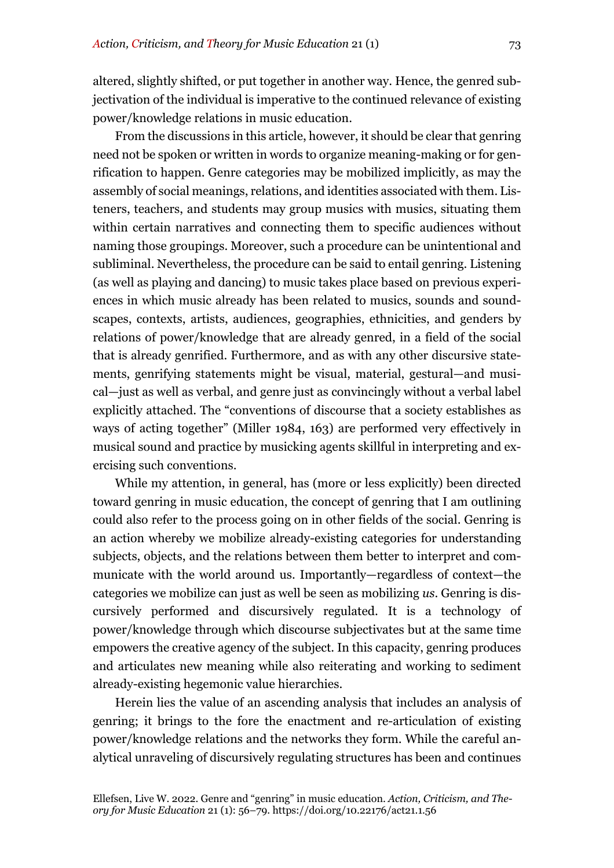altered, slightly shifted, or put together in another way. Hence, the genred subjectivation of the individual is imperative to the continued relevance of existing power/knowledge relations in music education.

From the discussions in this article, however, it should be clear that genring need not be spoken or written in words to organize meaning-making or for genrification to happen. Genre categories may be mobilized implicitly, as may the assembly of social meanings, relations, and identities associated with them. Listeners, teachers, and students may group musics with musics, situating them within certain narratives and connecting them to specific audiences without naming those groupings. Moreover, such a procedure can be unintentional and subliminal. Nevertheless, the procedure can be said to entail genring. Listening (as well as playing and dancing) to music takes place based on previous experiences in which music already has been related to musics, sounds and soundscapes, contexts, artists, audiences, geographies, ethnicities, and genders by relations of power/knowledge that are already genred, in a field of the social that is already genrified. Furthermore, and as with any other discursive statements, genrifying statements might be visual, material, gestural—and musical—just as well as verbal, and genre just as convincingly without a verbal label explicitly attached. The "conventions of discourse that a society establishes as ways of acting together" (Miller 1984, 163) are performed very effectively in musical sound and practice by musicking agents skillful in interpreting and exercising such conventions.

While my attention, in general, has (more or less explicitly) been directed toward genring in music education, the concept of genring that I am outlining could also refer to the process going on in other fields of the social. Genring is an action whereby we mobilize already-existing categories for understanding subjects, objects, and the relations between them better to interpret and communicate with the world around us. Importantly—regardless of context—the categories we mobilize can just as well be seen as mobilizing *us*. Genring is discursively performed and discursively regulated. It is a technology of power/knowledge through which discourse subjectivates but at the same time empowers the creative agency of the subject. In this capacity, genring produces and articulates new meaning while also reiterating and working to sediment already-existing hegemonic value hierarchies.

Herein lies the value of an ascending analysis that includes an analysis of genring; it brings to the fore the enactment and re-articulation of existing power/knowledge relations and the networks they form. While the careful analytical unraveling of discursively regulating structures has been and continues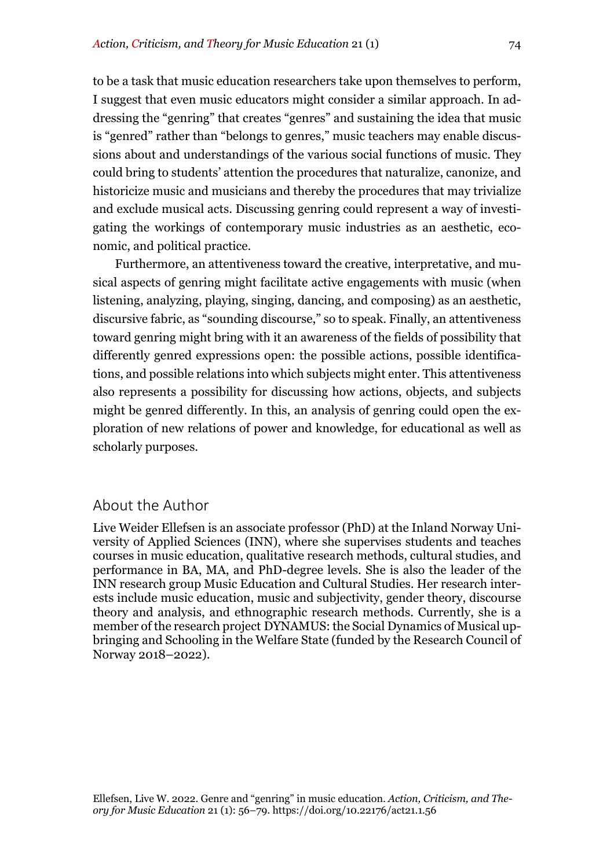to be a task that music education researchers take upon themselves to perform, I suggest that even music educators might consider a similar approach. In addressing the "genring" that creates "genres" and sustaining the idea that music is "genred" rather than "belongs to genres," music teachers may enable discussions about and understandings of the various social functions of music. They could bring to students' attention the procedures that naturalize, canonize, and historicize music and musicians and thereby the procedures that may trivialize and exclude musical acts. Discussing genring could represent a way of investigating the workings of contemporary music industries as an aesthetic, economic, and political practice.

Furthermore, an attentiveness toward the creative, interpretative, and musical aspects of genring might facilitate active engagements with music (when listening, analyzing, playing, singing, dancing, and composing) as an aesthetic, discursive fabric, as "sounding discourse," so to speak. Finally, an attentiveness toward genring might bring with it an awareness of the fields of possibility that differently genred expressions open: the possible actions, possible identifications, and possible relations into which subjects might enter. This attentiveness also represents a possibility for discussing how actions, objects, and subjects might be genred differently. In this, an analysis of genring could open the exploration of new relations of power and knowledge, for educational as well as scholarly purposes.

### About the Author

Live Weider Ellefsen is an associate professor (PhD) at the Inland Norway University of Applied Sciences (INN), where she supervises students and teaches courses in music education, qualitative research methods, cultural studies, and performance in BA, MA, and PhD-degree levels. She is also the leader of the INN research group Music Education and Cultural Studies. Her research interests include music education, music and subjectivity, gender theory, discourse theory and analysis, and ethnographic research methods. Currently, she is a member of the research project DYNAMUS: the Social Dynamics of Musical upbringing and Schooling in the Welfare State (funded by the Research Council of Norway 2018–2022).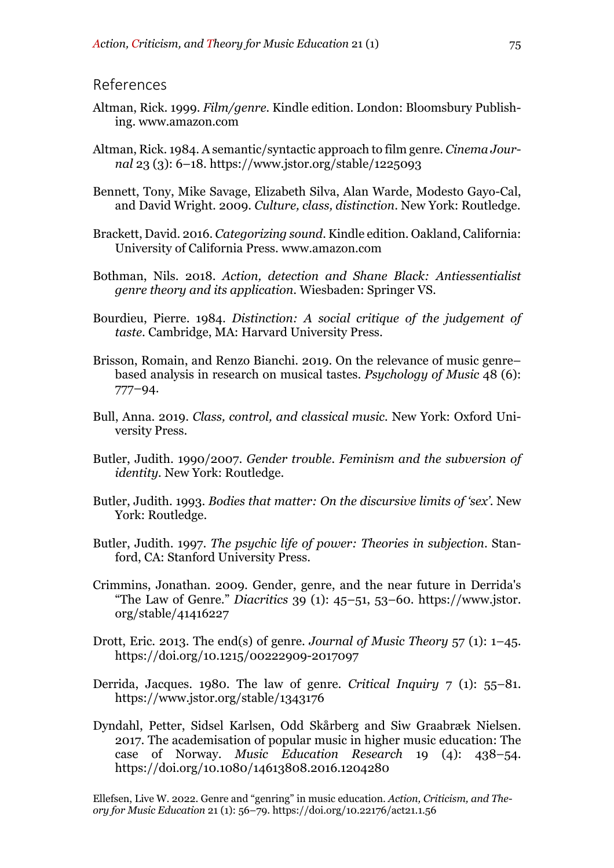#### References

- Altman, Rick. 1999. *Film/genre.* Kindle edition. London: Bloomsbury Publishing. www.amazon.com
- Altman, Rick. 1984. A semantic/syntactic approach to film genre. *Cinema Journal* 23 (3): 6–18. https://www.jstor.org/stable/1225093
- Bennett, Tony, Mike Savage, Elizabeth Silva, Alan Warde, Modesto Gayo-Cal, and David Wright. 2009. *Culture, class, distinction*. New York: Routledge.
- Brackett, David. 2016. *Categorizing sound.* Kindle edition. Oakland, California: University of California Press. www.amazon.com
- Bothman, Nils. 2018. *Action, detection and Shane Black: Antiessentialist genre theory and its application*. Wiesbaden: Springer VS.
- Bourdieu, Pierre. 1984. *Distinction: A social critique of the judgement of taste*. Cambridge, MA: Harvard University Press.
- Brisson, Romain, and Renzo Bianchi. 2019. On the relevance of music genre– based analysis in research on musical tastes. *Psychology of Music* 48 (6): 777–94.
- Bull, Anna. 2019. *Class, control, and classical music.* New York: Oxford University Press.
- Butler, Judith. 1990/2007. *Gender trouble. Feminism and the subversion of identity.* New York: Routledge.
- Butler, Judith. 1993. *Bodies that matter: On the discursive limits of 'sex'*. New York: Routledge.
- Butler, Judith. 1997. *The psychic life of power: Theories in subjection*. Stanford, CA: Stanford University Press.
- Crimmins, Jonathan. 2009. Gender, genre, and the near future in Derrida's "The Law of Genre." *Diacritics* 39 (1): 45–51, 53–60. https://www.jstor. org/stable/41416227
- Drott, Eric. 2013. The end(s) of genre. *Journal of Music Theory* 57 (1): 1–45. https://doi.org/10.1215/00222909-2017097
- Derrida, Jacques. 1980. The law of genre. *Critical Inquiry* 7 (1): 55–81. https://www.jstor.org/stable/1343176
- Dyndahl, Petter, Sidsel Karlsen, Odd Skårberg and Siw Graabræk Nielsen. 2017. The academisation of popular music in higher music education: The case of Norway. *Music Education Research* 19 (4): 438–54. https://doi.org/10.1080/14613808.2016.1204280

Ellefsen, Live W. 2022. Genre and "genring" in music education. *Action, Criticism, and Theory for Music Education* 21 (1): 56–79. https://doi.org/10.22176/act21.1.56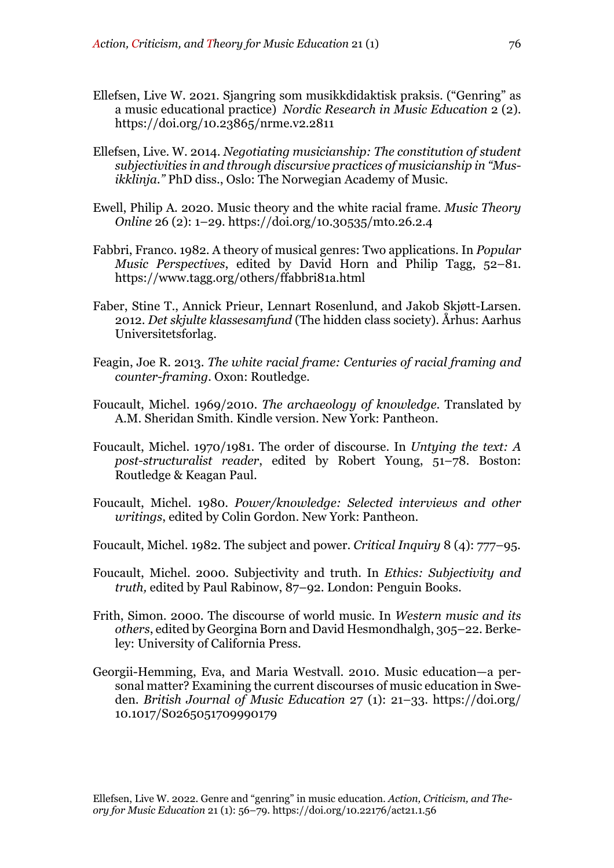- Ellefsen, Live W. 2021. Sjangring som musikkdidaktisk praksis. ("Genring" as a music educational practice) *Nordic Research in Music Education* 2 (2). https://doi.org/10.23865/nrme.v2.2811
- Ellefsen, Live. W. 2014. *Negotiating musicianship: The constitution of student subjectivities in and through discursive practices of musicianship in "Musikklinja."* PhD diss., Oslo: The Norwegian Academy of Music.
- Ewell, Philip A. 2020. Music theory and the white racial frame. *Music Theory Online* 26 (2): 1–29. https://doi.org/10.30535/mto.26.2.4
- Fabbri, Franco. 1982. A theory of musical genres: Two applications. In *Popular Music Perspectives*, edited by David Horn and Philip Tagg, 52–81. https://www.tagg.org/others/ffabbri81a.html
- Faber, Stine T., Annick Prieur, Lennart Rosenlund, and Jakob Skjøtt-Larsen. 2012. *Det skjulte klassesamfund* (The hidden class society). Århus: Aarhus Universitetsforlag.
- Feagin, Joe R. 2013. *The white racial frame: Centuries of racial framing and counter-framing.* Oxon: Routledge.
- Foucault, Michel. 1969/2010. *The archaeology of knowledge*. Translated by A.M. Sheridan Smith. Kindle version. New York: Pantheon.
- Foucault, Michel. 1970/1981. The order of discourse. In *Untying the text: A post-structuralist reader*, edited by Robert Young, 51–78. Boston: Routledge & Keagan Paul.
- Foucault, Michel. 1980. *Power/knowledge: Selected interviews and other writings*, edited by Colin Gordon. New York: Pantheon.
- Foucault, Michel. 1982. The subject and power. *Critical Inquiry* 8 (4): 777–95.
- Foucault, Michel. 2000. Subjectivity and truth. In *Ethics: Subjectivity and truth,* edited by Paul Rabinow, 87–92. London: Penguin Books.
- Frith, Simon. 2000. The discourse of world music. In *Western music and its others*, edited by Georgina Born and David Hesmondhalgh, 305–22. Berkeley: University of California Press.
- Georgii-Hemming, Eva, and Maria Westvall. 2010. Music education—a personal matter? Examining the current discourses of music education in Sweden. *British Journal of Music Education* 27 (1): 21–33. https://doi.org/ 10.1017/S0265051709990179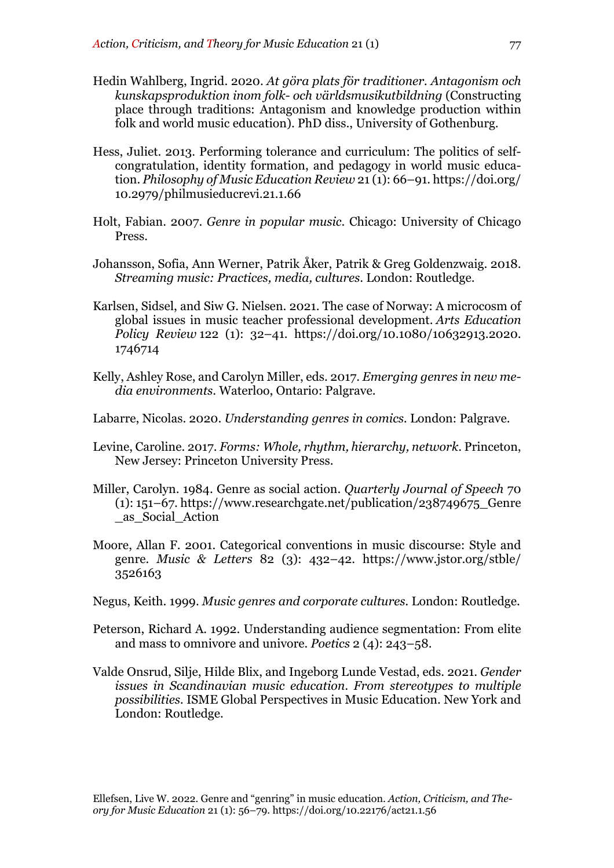- Hedin Wahlberg, Ingrid. 2020. *At göra plats för traditioner. Antagonism och kunskapsproduktion inom folk- och världsmusikutbildning* (Constructing place through traditions: Antagonism and knowledge production within folk and world music education). PhD diss., University of Gothenburg.
- Hess, Juliet. 2013. Performing tolerance and curriculum: The politics of selfcongratulation, identity formation, and pedagogy in world music education. *Philosophy of Music Education Review* 21 (1): 66–91. https://doi.org/ 10.2979/philmusieducrevi.21.1.66
- Holt, Fabian. 2007. *Genre in popular music*. Chicago: University of Chicago Press.
- Johansson, Sofia, Ann Werner, Patrik Åker, Patrik & Greg Goldenzwaig. 2018. *Streaming music: Practices, media, cultures*. London: Routledge.
- Karlsen, Sidsel, and Siw G. Nielsen. 2021. The case of Norway: A microcosm of global issues in music teacher professional development. *Arts Education Policy Review* 122 (1): 32–41. https://doi.org/10.1080/10632913.2020. 1746714
- Kelly, Ashley Rose, and Carolyn Miller, eds. 2017. *Emerging genres in new media environments*. Waterloo, Ontario: Palgrave.
- Labarre, Nicolas. 2020. *Understanding genres in comics.* London: Palgrave.
- Levine, Caroline. 2017. *Forms: Whole, rhythm, hierarchy, network*. Princeton, New Jersey: Princeton University Press.
- Miller, Carolyn. 1984. Genre as social action. *Quarterly Journal of Speech* 70  $(1): 151-67.$  https://www.researchgate.net/publication/238749675 Genre \_as\_Social\_Action
- Moore, Allan F. 2001. Categorical conventions in music discourse: Style and genre. *Music & Letters* 82 (3): 432–42. https://www.jstor.org/stble/ 3526163
- Negus, Keith. 1999. *Music genres and corporate cultures.* London: Routledge.
- Peterson, Richard A. 1992. Understanding audience segmentation: From elite and mass to omnivore and univore. *Poetics* 2 (4): 243–58.
- Valde Onsrud, Silje, Hilde Blix, and Ingeborg Lunde Vestad, eds. 2021. *Gender issues in Scandinavian music education. From stereotypes to multiple possibilities.* ISME Global Perspectives in Music Education. New York and London: Routledge.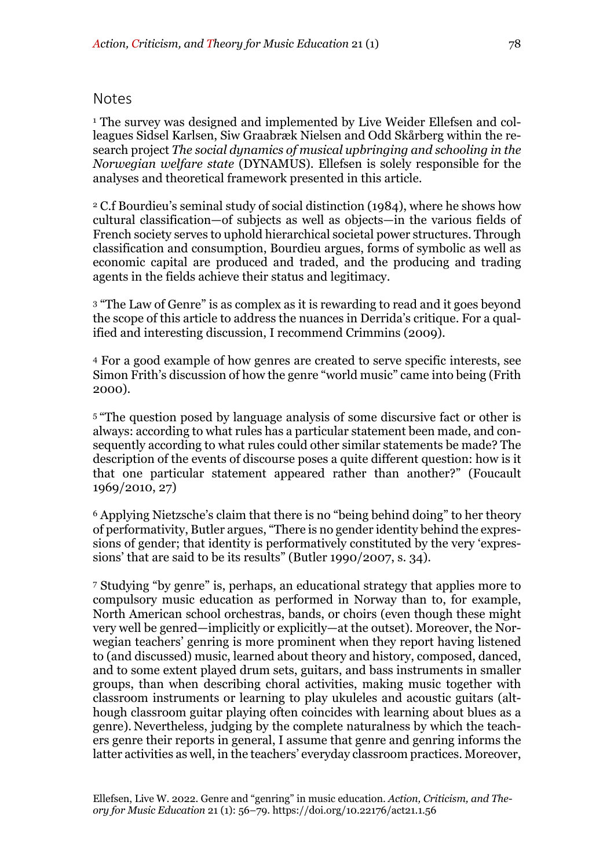#### Notes

<sup>1</sup> The survey was designed and implemented by Live Weider Ellefsen and colleagues Sidsel Karlsen, Siw Graabræk Nielsen and Odd Skårberg within the research project *The social dynamics of musical upbringing and schooling in the Norwegian welfare state* (DYNAMUS). Ellefsen is solely responsible for the analyses and theoretical framework presented in this article.

<sup>2</sup> C.f Bourdieu's seminal study of social distinction (1984), where he shows how cultural classification—of subjects as well as objects—in the various fields of French society serves to uphold hierarchical societal power structures. Through classification and consumption, Bourdieu argues, forms of symbolic as well as economic capital are produced and traded, and the producing and trading agents in the fields achieve their status and legitimacy.

<sup>3</sup> "The Law of Genre" is as complex as it is rewarding to read and it goes beyond the scope of this article to address the nuances in Derrida's critique. For a qualified and interesting discussion, I recommend Crimmins (2009).

<sup>4</sup> For a good example of how genres are created to serve specific interests, see Simon Frith's discussion of how the genre "world music" came into being (Frith 2000).

<sup>5</sup> "The question posed by language analysis of some discursive fact or other is always: according to what rules has a particular statement been made, and consequently according to what rules could other similar statements be made? The description of the events of discourse poses a quite different question: how is it that one particular statement appeared rather than another?" (Foucault 1969/2010, 27)

<sup>6</sup> Applying Nietzsche's claim that there is no "being behind doing" to her theory of performativity, Butler argues, "There is no gender identity behind the expressions of gender; that identity is performatively constituted by the very 'expressions' that are said to be its results" (Butler 1990/2007, s. 34).

<sup>7</sup> Studying "by genre" is, perhaps, an educational strategy that applies more to compulsory music education as performed in Norway than to, for example, North American school orchestras, bands, or choirs (even though these might very well be genred—implicitly or explicitly—at the outset). Moreover, the Norwegian teachers' genring is more prominent when they report having listened to (and discussed) music, learned about theory and history, composed, danced, and to some extent played drum sets, guitars, and bass instruments in smaller groups, than when describing choral activities, making music together with classroom instruments or learning to play ukuleles and acoustic guitars (although classroom guitar playing often coincides with learning about blues as a genre). Nevertheless, judging by the complete naturalness by which the teachers genre their reports in general, I assume that genre and genring informs the latter activities as well, in the teachers' everyday classroom practices. Moreover,